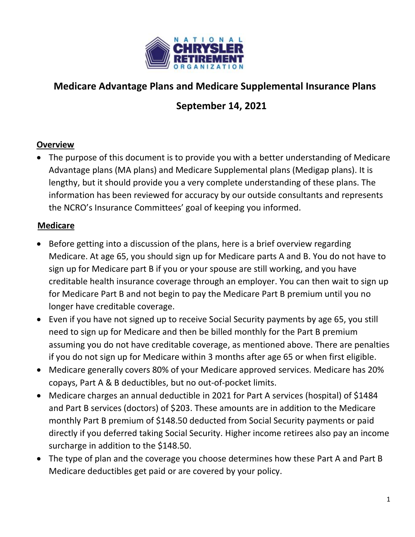

# **Medicare Advantage Plans and Medicare Supplemental Insurance Plans**

# **September 14, 2021**

### **Overview**

• The purpose of this document is to provide you with a better understanding of Medicare Advantage plans (MA plans) and Medicare Supplemental plans (Medigap plans). It is lengthy, but it should provide you a very complete understanding of these plans. The information has been reviewed for accuracy by our outside consultants and represents the NCRO's Insurance Committees' goal of keeping you informed.

### **Medicare**

- Before getting into a discussion of the plans, here is a brief overview regarding Medicare. At age 65, you should sign up for Medicare parts A and B. You do not have to sign up for Medicare part B if you or your spouse are still working, and you have creditable health insurance coverage through an employer. You can then wait to sign up for Medicare Part B and not begin to pay the Medicare Part B premium until you no longer have creditable coverage.
- Even if you have not signed up to receive Social Security payments by age 65, you still need to sign up for Medicare and then be billed monthly for the Part B premium assuming you do not have creditable coverage, as mentioned above. There are penalties if you do not sign up for Medicare within 3 months after age 65 or when first eligible.
- Medicare generally covers 80% of your Medicare approved services. Medicare has 20% copays, Part A & B deductibles, but no out-of-pocket limits.
- Medicare charges an annual deductible in 2021 for Part A services (hospital) of \$1484 and Part B services (doctors) of \$203. These amounts are in addition to the Medicare monthly Part B premium of \$148.50 deducted from Social Security payments or paid directly if you deferred taking Social Security. Higher income retirees also pay an income surcharge in addition to the \$148.50.
- The type of plan and the coverage you choose determines how these Part A and Part B Medicare deductibles get paid or are covered by your policy.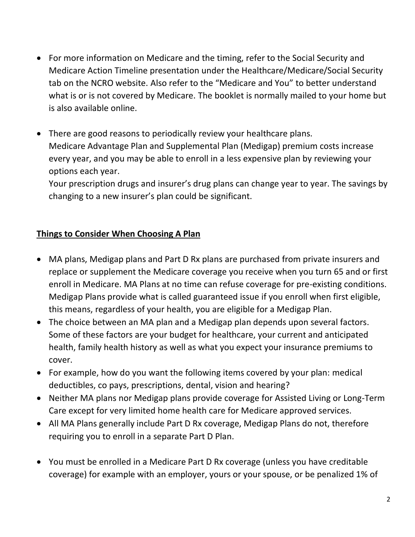- For more information on Medicare and the timing, refer to the Social Security and Medicare Action Timeline presentation under the Healthcare/Medicare/Social Security tab on the NCRO website. Also refer to the "Medicare and You" to better understand what is or is not covered by Medicare. The booklet is normally mailed to your home but is also available online.
- There are good reasons to periodically review your healthcare plans. Medicare Advantage Plan and Supplemental Plan (Medigap) premium costs increase every year, and you may be able to enroll in a less expensive plan by reviewing your options each year.

Your prescription drugs and insurer's drug plans can change year to year. The savings by changing to a new insurer's plan could be significant.

# **Things to Consider When Choosing A Plan**

- MA plans, Medigap plans and Part D Rx plans are purchased from private insurers and replace or supplement the Medicare coverage you receive when you turn 65 and or first enroll in Medicare. MA Plans at no time can refuse coverage for pre-existing conditions. Medigap Plans provide what is called guaranteed issue if you enroll when first eligible, this means, regardless of your health, you are eligible for a Medigap Plan.
- The choice between an MA plan and a Medigap plan depends upon several factors. Some of these factors are your budget for healthcare, your current and anticipated health, family health history as well as what you expect your insurance premiums to cover.
- For example, how do you want the following items covered by your plan: medical deductibles, co pays, prescriptions, dental, vision and hearing?
- Neither MA plans nor Medigap plans provide coverage for Assisted Living or Long-Term Care except for very limited home health care for Medicare approved services.
- All MA Plans generally include Part D Rx coverage, Medigap Plans do not, therefore requiring you to enroll in a separate Part D Plan.
- You must be enrolled in a Medicare Part D Rx coverage (unless you have creditable coverage) for example with an employer, yours or your spouse, or be penalized 1% of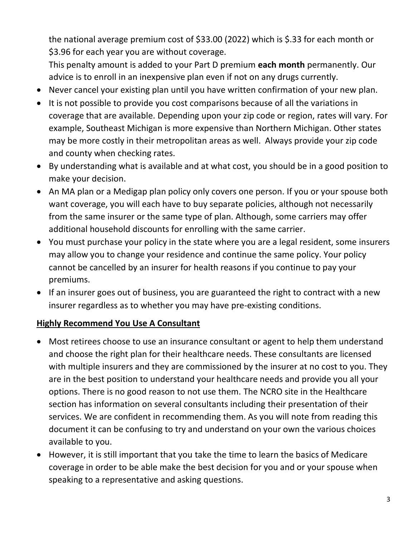the national average premium cost of \$33.00 (2022) which is \$.33 for each month or \$3.96 for each year you are without coverage.

This penalty amount is added to your Part D premium **each month** permanently. Our advice is to enroll in an inexpensive plan even if not on any drugs currently.

- Never cancel your existing plan until you have written confirmation of your new plan.
- It is not possible to provide you cost comparisons because of all the variations in coverage that are available. Depending upon your zip code or region, rates will vary. For example, Southeast Michigan is more expensive than Northern Michigan. Other states may be more costly in their metropolitan areas as well. Always provide your zip code and county when checking rates.
- By understanding what is available and at what cost, you should be in a good position to make your decision.
- An MA plan or a Medigap plan policy only covers one person. If you or your spouse both want coverage, you will each have to buy separate policies, although not necessarily from the same insurer or the same type of plan. Although, some carriers may offer additional household discounts for enrolling with the same carrier.
- You must purchase your policy in the state where you are a legal resident, some insurers may allow you to change your residence and continue the same policy. Your policy cannot be cancelled by an insurer for health reasons if you continue to pay your premiums.
- If an insurer goes out of business, you are guaranteed the right to contract with a new insurer regardless as to whether you may have pre-existing conditions.

### **Highly Recommend You Use A Consultant**

- Most retirees choose to use an insurance consultant or agent to help them understand and choose the right plan for their healthcare needs. These consultants are licensed with multiple insurers and they are commissioned by the insurer at no cost to you. They are in the best position to understand your healthcare needs and provide you all your options. There is no good reason to not use them. The NCRO site in the Healthcare section has information on several consultants including their presentation of their services. We are confident in recommending them. As you will note from reading this document it can be confusing to try and understand on your own the various choices available to you.
- However, it is still important that you take the time to learn the basics of Medicare coverage in order to be able make the best decision for you and or your spouse when speaking to a representative and asking questions.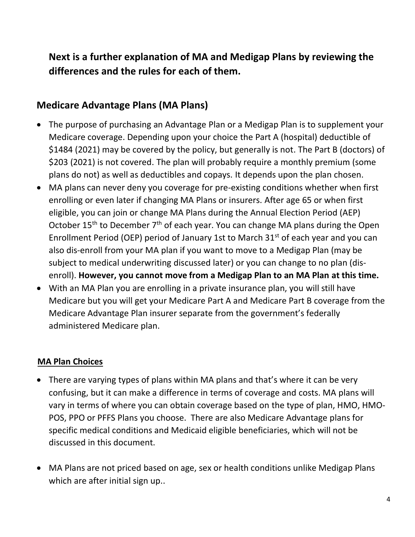# **Next is a further explanation of MA and Medigap Plans by reviewing the differences and the rules for each of them.**

# **Medicare Advantage Plans (MA Plans)**

- The purpose of purchasing an Advantage Plan or a Medigap Plan is to supplement your Medicare coverage. Depending upon your choice the Part A (hospital) deductible of \$1484 (2021) may be covered by the policy, but generally is not. The Part B (doctors) of \$203 (2021) is not covered. The plan will probably require a monthly premium (some plans do not) as well as deductibles and copays. It depends upon the plan chosen.
- MA plans can never deny you coverage for pre-existing conditions whether when first enrolling or even later if changing MA Plans or insurers. After age 65 or when first eligible, you can join or change MA Plans during the Annual Election Period (AEP) October  $15<sup>th</sup>$  to December  $7<sup>th</sup>$  of each year. You can change MA plans during the Open Enrollment Period (OEP) period of January 1st to March 31<sup>st</sup> of each year and you can also dis-enroll from your MA plan if you want to move to a Medigap Plan (may be subject to medical underwriting discussed later) or you can change to no plan (disenroll). **However, you cannot move from a Medigap Plan to an MA Plan at this time.**
- With an MA Plan you are enrolling in a private insurance plan, you will still have Medicare but you will get your Medicare Part A and Medicare Part B coverage from the Medicare Advantage Plan insurer separate from the government's federally administered Medicare plan.

### **MA Plan Choices**

- There are varying types of plans within MA plans and that's where it can be very confusing, but it can make a difference in terms of coverage and costs. MA plans will vary in terms of where you can obtain coverage based on the type of plan, HMO, HMO-POS, PPO or PFFS Plans you choose. There are also Medicare Advantage plans for specific medical conditions and Medicaid eligible beneficiaries, which will not be discussed in this document.
- MA Plans are not priced based on age, sex or health conditions unlike Medigap Plans which are after initial sign up..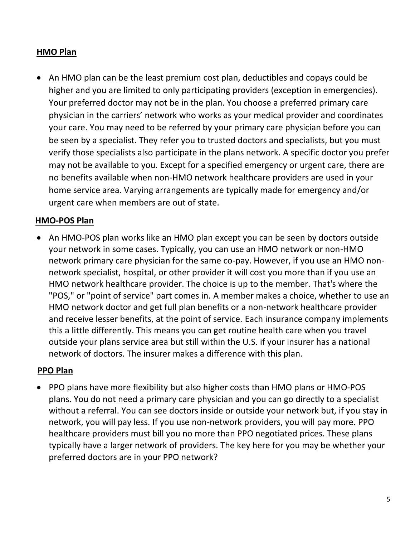#### **HMO Plan**

• An HMO plan can be the least premium cost plan, deductibles and copays could be higher and you are limited to only participating providers (exception in emergencies). Your preferred doctor may not be in the plan. You choose a preferred primary care physician in the carriers' network who works as your medical provider and coordinates your care. You may need to be referred by your primary care physician before you can be seen by a specialist. They refer you to trusted doctors and specialists, but you must verify those specialists also participate in the plans network. A specific doctor you prefer may not be available to you. Except for a specified emergency or urgent care, there are no benefits available when non-HMO network healthcare providers are used in your home service area. Varying arrangements are typically made for emergency and/or urgent care when members are out of state.

#### **HMO-POS Plan**

• An HMO-POS plan works like an HMO plan except you can be seen by doctors outside your network in some cases. Typically, you can use an HMO network or non-HMO network primary care physician for the same co-pay. However, if you use an HMO nonnetwork specialist, hospital, or other provider it will cost you more than if you use an HMO network healthcare provider. The choice is up to the member. That's where the "POS," or "point of service" part comes in. A member makes a choice, whether to use an HMO network doctor and get full plan benefits or a non-network healthcare provider and receive lesser benefits, at the point of service. Each insurance company implements this a little differently. This means you can get routine health care when you travel outside your plans service area but still within the U.S. if your insurer has a national network of doctors. The insurer makes a difference with this plan.

#### **PPO Plan**

• PPO plans have more flexibility but also higher costs than HMO plans or HMO-POS plans. You do not need a primary care physician and you can go directly to a specialist without a referral. You can see doctors inside or outside your network but, if you stay in network, you will pay less. If you use non-network providers, you will pay more. PPO healthcare providers must bill you no more than PPO negotiated prices. These plans typically have a larger network of providers. The key here for you may be whether your preferred doctors are in your PPO network?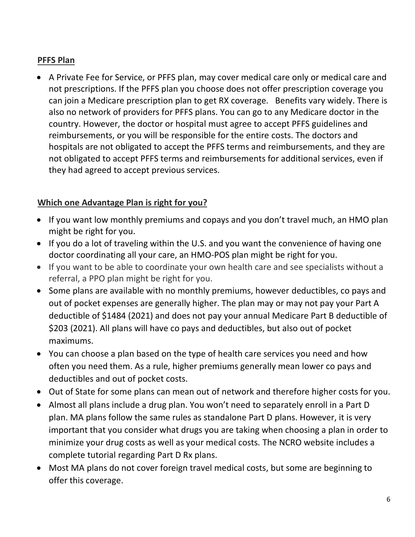### **PFFS Plan**

• A Private Fee for Service, or PFFS plan, may cover medical care only or medical care and not prescriptions. If the PFFS plan you choose does not offer prescription coverage you can join a Medicare prescription plan to get RX coverage. Benefits vary widely. There is also no network of providers for PFFS plans. You can go to any Medicare doctor in the country. However, the doctor or hospital must agree to accept PFFS guidelines and reimbursements, or you will be responsible for the entire costs. The doctors and hospitals are not obligated to accept the PFFS terms and reimbursements, and they are not obligated to accept PFFS terms and reimbursements for additional services, even if they had agreed to accept previous services.

### **Which one Advantage Plan is right for you?**

- If you want low monthly premiums and copays and you don't travel much, an HMO plan might be right for you.
- If you do a lot of traveling within the U.S. and you want the convenience of having one doctor coordinating all your care, an HMO-POS plan might be right for you.
- If you want to be able to coordinate your own health care and see specialists without a referral, a PPO plan might be right for you.
- Some plans are available with no monthly premiums, however deductibles, co pays and out of pocket expenses are generally higher. The plan may or may not pay your Part A deductible of \$1484 (2021) and does not pay your annual Medicare Part B deductible of \$203 (2021). All plans will have co pays and deductibles, but also out of pocket maximums.
- You can choose a plan based on the type of health care services you need and how often you need them. As a rule, higher premiums generally mean lower co pays and deductibles and out of pocket costs.
- Out of State for some plans can mean out of network and therefore higher costs for you.
- Almost all plans include a drug plan. You won't need to separately enroll in a Part D plan. MA plans follow the same rules as standalone Part D plans. However, it is very important that you consider what drugs you are taking when choosing a plan in order to minimize your drug costs as well as your medical costs. The NCRO website includes a complete tutorial regarding Part D Rx plans.
- Most MA plans do not cover foreign travel medical costs, but some are beginning to offer this coverage.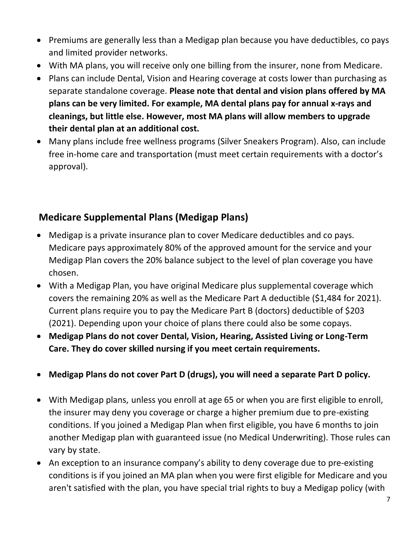- Premiums are generally less than a Medigap plan because you have deductibles, co pays and limited provider networks.
- With MA plans, you will receive only one billing from the insurer, none from Medicare.
- Plans can include Dental, Vision and Hearing coverage at costs lower than purchasing as separate standalone coverage. **Please note that dental and vision plans offered by MA plans can be very limited. For example, MA dental plans pay for annual x-rays and cleanings, but little else. However, most MA plans will allow members to upgrade their dental plan at an additional cost.**
- Many plans include free wellness programs (Silver Sneakers Program). Also, can include free in-home care and transportation (must meet certain requirements with a doctor's approval).

# **Medicare Supplemental Plans (Medigap Plans)**

- Medigap is a private insurance plan to cover Medicare deductibles and co pays. Medicare pays approximately 80% of the approved amount for the service and your Medigap Plan covers the 20% balance subject to the level of plan coverage you have chosen.
- With a Medigap Plan, you have original Medicare plus supplemental coverage which covers the remaining 20% as well as the Medicare Part A deductible (\$1,484 for 2021). Current plans require you to pay the Medicare Part B (doctors) deductible of \$203 (2021). Depending upon your choice of plans there could also be some copays.
- **Medigap Plans do not cover Dental, Vision, Hearing, Assisted Living or Long-Term Care. They do cover skilled nursing if you meet certain requirements.**
- **Medigap Plans do not cover Part D (drugs), you will need a separate Part D policy.**
- With Medigap plans, unless you enroll at age 65 or when you are first eligible to enroll, the insurer may deny you coverage or charge a higher premium due to pre-existing conditions. If you joined a Medigap Plan when first eligible, you have 6 months to join another Medigap plan with guaranteed issue (no Medical Underwriting). Those rules can vary by state.
- An exception to an insurance company's ability to deny coverage due to pre-existing conditions is if you joined an MA plan when you were first eligible for Medicare and you aren't satisfied with the plan, you have special trial rights to buy a Medigap policy (with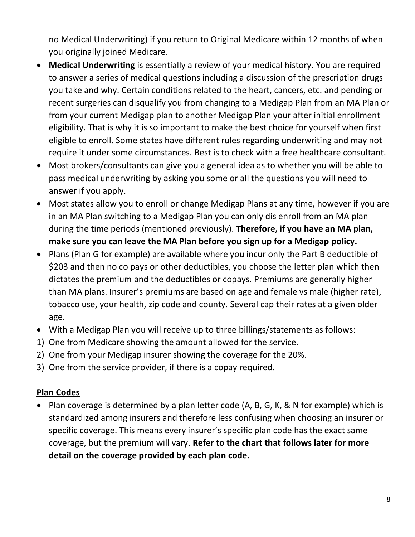no Medical Underwriting) if you return to Original Medicare within 12 months of when you originally joined Medicare.

- **Medical Underwriting** is essentially a review of your medical history. You are required to answer a series of medical questions including a discussion of the prescription drugs you take and why. Certain conditions related to the heart, cancers, etc. and pending or recent surgeries can disqualify you from changing to a Medigap Plan from an MA Plan or from your current Medigap plan to another Medigap Plan your after initial enrollment eligibility. That is why it is so important to make the best choice for yourself when first eligible to enroll. Some states have different rules regarding underwriting and may not require it under some circumstances. Best is to check with a free healthcare consultant.
- Most brokers/consultants can give you a general idea as to whether you will be able to pass medical underwriting by asking you some or all the questions you will need to answer if you apply.
- Most states allow you to enroll or change Medigap Plans at any time, however if you are in an MA Plan switching to a Medigap Plan you can only dis enroll from an MA plan during the time periods (mentioned previously). **Therefore, if you have an MA plan, make sure you can leave the MA Plan before you sign up for a Medigap policy.**
- Plans (Plan G for example) are available where you incur only the Part B deductible of \$203 and then no co pays or other deductibles, you choose the letter plan which then dictates the premium and the deductibles or copays. Premiums are generally higher than MA plans. Insurer's premiums are based on age and female vs male (higher rate), tobacco use, your health, zip code and county. Several cap their rates at a given older age.
- With a Medigap Plan you will receive up to three billings/statements as follows:
- 1) One from Medicare showing the amount allowed for the service.
- 2) One from your Medigap insurer showing the coverage for the 20%.
- 3) One from the service provider, if there is a copay required.

# **Plan Codes**

• Plan coverage is determined by a plan letter code (A, B, G, K, & N for example) which is standardized among insurers and therefore less confusing when choosing an insurer or specific coverage. This means every insurer's specific plan code has the exact same coverage, but the premium will vary. **Refer to the chart that follows later for more detail on the coverage provided by each plan code.**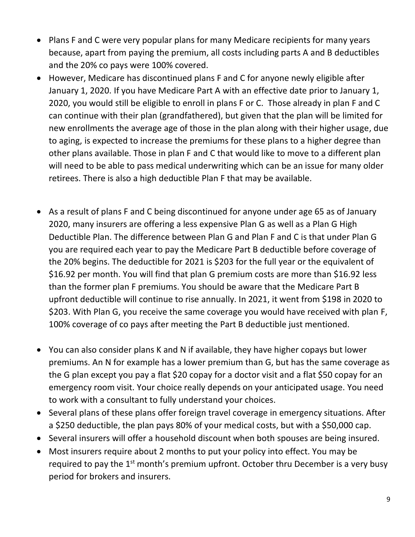- Plans F and C were very popular plans for many Medicare recipients for many years because, apart from paying the premium, all costs including parts A and B deductibles and the 20% co pays were 100% covered.
- However, Medicare has discontinued plans F and C for anyone newly eligible after January 1, 2020. If you have Medicare Part A with an effective date prior to January 1, 2020, you would still be eligible to enroll in plans F or C. Those already in plan F and C can continue with their plan (grandfathered), but given that the plan will be limited for new enrollments the average age of those in the plan along with their higher usage, due to aging, is expected to increase the premiums for these plans to a higher degree than other plans available. Those in plan F and C that would like to move to a different plan will need to be able to pass medical underwriting which can be an issue for many older retirees. There is also a high deductible Plan F that may be available.
- As a result of plans F and C being discontinued for anyone under age 65 as of January 2020, many insurers are offering a less expensive Plan G as well as a Plan G High Deductible Plan. The difference between Plan G and Plan F and C is that under Plan G you are required each year to pay the Medicare Part B deductible before coverage of the 20% begins. The deductible for 2021 is \$203 for the full year or the equivalent of \$16.92 per month. You will find that plan G premium costs are more than \$16.92 less than the former plan F premiums. You should be aware that the Medicare Part B upfront deductible will continue to rise annually. In 2021, it went from \$198 in 2020 to \$203. With Plan G, you receive the same coverage you would have received with plan F, 100% coverage of co pays after meeting the Part B deductible just mentioned.
- You can also consider plans K and N if available, they have higher copays but lower premiums. An N for example has a lower premium than G, but has the same coverage as the G plan except you pay a flat \$20 copay for a doctor visit and a flat \$50 copay for an emergency room visit. Your choice really depends on your anticipated usage. You need to work with a consultant to fully understand your choices.
- Several plans of these plans offer foreign travel coverage in emergency situations. After a \$250 deductible, the plan pays 80% of your medical costs, but with a \$50,000 cap.
- Several insurers will offer a household discount when both spouses are being insured.
- Most insurers require about 2 months to put your policy into effect. You may be required to pay the  $1<sup>st</sup>$  month's premium upfront. October thru December is a very busy period for brokers and insurers.